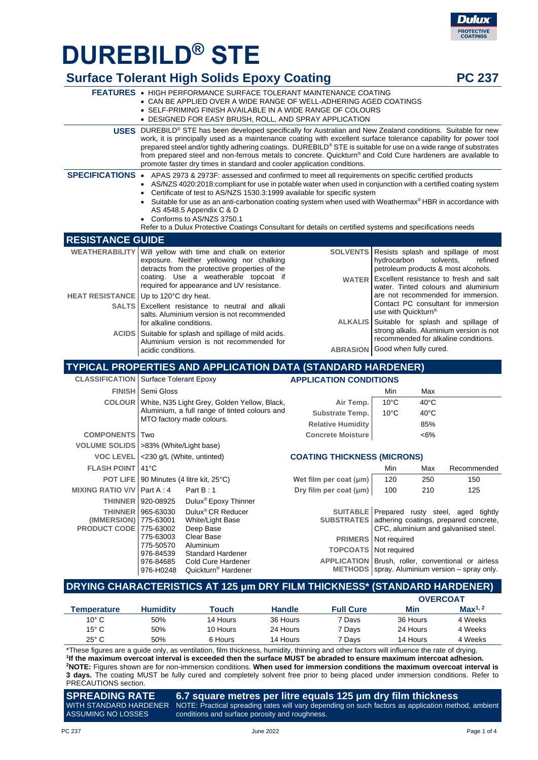# **DUREBILD® STE**

976-84539 976-84685 976-H0248 Standard Hardener Cold Cure Hardener Quickturn® Hardener

|                                                      |                                                                                                                                                                                                                                                                                                                                 | <b>Surface Tolerant High Solids Epoxy Coating</b>                                                                                                                                                                                                                                                                                                                                                                                                                                                                                                                                                 |                                                                     |                                                                                                                  |                                                   | <b>PC 237</b>                                                                                                       |
|------------------------------------------------------|---------------------------------------------------------------------------------------------------------------------------------------------------------------------------------------------------------------------------------------------------------------------------------------------------------------------------------|---------------------------------------------------------------------------------------------------------------------------------------------------------------------------------------------------------------------------------------------------------------------------------------------------------------------------------------------------------------------------------------------------------------------------------------------------------------------------------------------------------------------------------------------------------------------------------------------------|---------------------------------------------------------------------|------------------------------------------------------------------------------------------------------------------|---------------------------------------------------|---------------------------------------------------------------------------------------------------------------------|
|                                                      |                                                                                                                                                                                                                                                                                                                                 | <b>FEATURES • HIGH PERFORMANCE SURFACE TOLERANT MAINTENANCE COATING</b><br>• CAN BE APPLIED OVER A WIDE RANGE OF WELL-ADHERING AGED COATINGS<br>• SELF-PRIMING FINISH AVAILABLE IN A WIDE RANGE OF COLOURS<br>• DESIGNED FOR EASY BRUSH, ROLL, AND SPRAY APPLICATION                                                                                                                                                                                                                                                                                                                              |                                                                     |                                                                                                                  |                                                   |                                                                                                                     |
|                                                      |                                                                                                                                                                                                                                                                                                                                 | USES DUREBILD® STE has been developed specifically for Australian and New Zealand conditions. Suitable for new<br>work, it is principally used as a maintenance coating with excellent surface tolerance capability for power tool<br>prepared steel and/or tightly adhering coatings. DUREBILD® STE is suitable for use on a wide range of substrates<br>from prepared steel and non-ferrous metals to concrete. Quickturn® and Cold Cure hardeners are available to<br>promote faster dry times in standard and cooler application conditions.                                                  |                                                                     |                                                                                                                  |                                                   |                                                                                                                     |
|                                                      |                                                                                                                                                                                                                                                                                                                                 | SPECIFICATIONS • APAS 2973 & 2973F: assessed and confirmed to meet all requirements on specific certified products<br>AS/NZS 4020:2018:compliant for use in potable water when used in conjunction with a certified coating system<br>Certificate of test to AS/NZS 1530.3:1999 available for specific system<br>Suitable for use as an anti-carbonation coating system when used with Weathermax® HBR in accordance with<br>AS 4548.5 Appendix C & D<br>• Conforms to AS/NZS 3750.1<br>Refer to a Dulux Protective Coatings Consultant for details on certified systems and specifications needs |                                                                     |                                                                                                                  |                                                   |                                                                                                                     |
| <b>RESISTANCE GUIDE</b>                              |                                                                                                                                                                                                                                                                                                                                 |                                                                                                                                                                                                                                                                                                                                                                                                                                                                                                                                                                                                   |                                                                     |                                                                                                                  |                                                   |                                                                                                                     |
| <b>WEATHERABILITY</b>                                | Will yellow with time and chalk on exterior<br><b>SOLVENTS</b><br>Resists splash and spillage of most<br>exposure. Neither yellowing nor chalking<br>hydrocarbon<br>solvents,<br>detracts from the protective properties of the<br>petroleum products & most alcohols.<br>coating. Use a weatherable topcoat if<br><b>WATER</b> |                                                                                                                                                                                                                                                                                                                                                                                                                                                                                                                                                                                                   |                                                                     |                                                                                                                  | refined<br>Excellent resistance to fresh and salt |                                                                                                                     |
|                                                      |                                                                                                                                                                                                                                                                                                                                 | required for appearance and UV resistance.                                                                                                                                                                                                                                                                                                                                                                                                                                                                                                                                                        |                                                                     |                                                                                                                  |                                                   | water. Tinted colours and aluminium                                                                                 |
| <b>HEAT RESISTANCE</b><br><b>SALTS</b>               | Up to 120°C dry heat.<br>Excellent resistance to neutral and alkali<br>use with Quickturn®<br>salts. Aluminium version is not recommended<br><b>ALKALIS</b><br>for alkaline conditions.                                                                                                                                         |                                                                                                                                                                                                                                                                                                                                                                                                                                                                                                                                                                                                   |                                                                     | are not recommended for immersion.<br>Contact PC consultant for immersion<br>Suitable for splash and spillage of |                                                   |                                                                                                                     |
| <b>ACIDS</b>                                         | acidic conditions.                                                                                                                                                                                                                                                                                                              | Suitable for splash and spillage of mild acids.<br>Aluminium version is not recommended for                                                                                                                                                                                                                                                                                                                                                                                                                                                                                                       | <b>ABRASION</b> Good when fully cured.                              |                                                                                                                  |                                                   | strong alkalis. Aluminium version is not<br>recommended for alkaline conditions.                                    |
|                                                      |                                                                                                                                                                                                                                                                                                                                 | TYPICAL PROPERTIES AND APPLICATION DATA (STANDARD HARDENER)                                                                                                                                                                                                                                                                                                                                                                                                                                                                                                                                       |                                                                     |                                                                                                                  |                                                   |                                                                                                                     |
| <b>CLASSIFICATION</b> Surface Tolerant Epoxy         |                                                                                                                                                                                                                                                                                                                                 |                                                                                                                                                                                                                                                                                                                                                                                                                                                                                                                                                                                                   | <b>APPLICATION CONDITIONS</b>                                       |                                                                                                                  |                                                   |                                                                                                                     |
|                                                      | <b>FINISH</b> Semi Gloss                                                                                                                                                                                                                                                                                                        |                                                                                                                                                                                                                                                                                                                                                                                                                                                                                                                                                                                                   |                                                                     | Min                                                                                                              | Max                                               |                                                                                                                     |
| <b>COLOUR</b>                                        |                                                                                                                                                                                                                                                                                                                                 | White, N35 Light Grey, Golden Yellow, Black,                                                                                                                                                                                                                                                                                                                                                                                                                                                                                                                                                      | Air Temp.                                                           | $10^{\circ}$ C                                                                                                   | $40^{\circ}$ C                                    |                                                                                                                     |
|                                                      |                                                                                                                                                                                                                                                                                                                                 | Aluminium, a full range of tinted colours and<br>MTO factory made colours.                                                                                                                                                                                                                                                                                                                                                                                                                                                                                                                        | Substrate Temp.                                                     | $10^{\circ}$ C                                                                                                   | $40^{\circ}$ C                                    |                                                                                                                     |
|                                                      |                                                                                                                                                                                                                                                                                                                                 |                                                                                                                                                                                                                                                                                                                                                                                                                                                                                                                                                                                                   | <b>Relative Humidity</b>                                            |                                                                                                                  | 85%                                               |                                                                                                                     |
| <b>COMPONENTS</b>                                    | Two                                                                                                                                                                                                                                                                                                                             |                                                                                                                                                                                                                                                                                                                                                                                                                                                                                                                                                                                                   | <b>Concrete Moisture</b>                                            |                                                                                                                  | $<6\%$                                            |                                                                                                                     |
| VOLUME SOLIDS   >83% (White/Light base)              |                                                                                                                                                                                                                                                                                                                                 |                                                                                                                                                                                                                                                                                                                                                                                                                                                                                                                                                                                                   |                                                                     |                                                                                                                  |                                                   |                                                                                                                     |
| <b>VOC LEVEL</b>                                     |                                                                                                                                                                                                                                                                                                                                 | <230 g/L (White, untinted)                                                                                                                                                                                                                                                                                                                                                                                                                                                                                                                                                                        | <b>COATING THICKNESS (MICRONS)</b>                                  |                                                                                                                  |                                                   |                                                                                                                     |
| <b>FLASH POINT 41°C</b>                              |                                                                                                                                                                                                                                                                                                                                 |                                                                                                                                                                                                                                                                                                                                                                                                                                                                                                                                                                                                   |                                                                     | Min                                                                                                              | Max                                               | Recommended                                                                                                         |
|                                                      |                                                                                                                                                                                                                                                                                                                                 | POT LIFE   90 Minutes (4 litre kit, 25°C)                                                                                                                                                                                                                                                                                                                                                                                                                                                                                                                                                         | Wet film per coat (µm)                                              | 120                                                                                                              | 250                                               | 150                                                                                                                 |
| <b>MIXING RATIO V/V</b><br><b>THINNER</b>            | Part A: 4<br>920-08925                                                                                                                                                                                                                                                                                                          | Part B: 1<br>Dulux <sup>®</sup> Epoxy Thinner                                                                                                                                                                                                                                                                                                                                                                                                                                                                                                                                                     | Dry film per coat (µm)                                              | 100                                                                                                              | 210                                               | 125                                                                                                                 |
| <b>THINNER</b><br>(IMMERSION)<br><b>PRODUCT CODE</b> | 965-63030<br>775-63001<br>775-63002<br>775-63003                                                                                                                                                                                                                                                                                | Dulux <sup>®</sup> CR Reducer<br>White/Light Base<br>Deep Base<br>Clear Base                                                                                                                                                                                                                                                                                                                                                                                                                                                                                                                      | <b>SUITABLE</b><br><b>SUBSTRATES</b><br><b>PRIMERS</b> Not required |                                                                                                                  |                                                   | Prepared rusty steel, aged tightly<br>adhering coatings, prepared concrete,<br>CFC, aluminium and galvanised steel. |
|                                                      | 775-50570                                                                                                                                                                                                                                                                                                                       | Aluminium                                                                                                                                                                                                                                                                                                                                                                                                                                                                                                                                                                                         |                                                                     |                                                                                                                  |                                                   |                                                                                                                     |

#### **DRYING CHARACTERISTICS AT 125 μm DRY FILM THICKNESS\* (STANDARD HARDENER)**

**TOPCOATS** Not required

**APPLICATION** Brush, roller, conventional or airless **METHODS** spray. Aluminium version – spray only.

|                |                 |          |               |                  | <b>OVERCOAT</b> |                     |
|----------------|-----------------|----------|---------------|------------------|-----------------|---------------------|
| Temperature    | <b>Humidity</b> | Touch    | <b>Handle</b> | <b>Full Cure</b> | Min             | Max <sup>1, 2</sup> |
| $10^{\circ}$ C | 50%             | 14 Hours | 36 Hours      | 7 Davs           | 36 Hours        | 4 Weeks             |
| $15^{\circ}$ C | 50%             | 10 Hours | 24 Hours      | 7 Davs           | 24 Hours        | 4 Weeks             |
| $25^{\circ}$ C | 50%             | 6 Hours  | 14 Hours      | 7 Davs           | 14 Hours        | 4 Weeks             |

\*These figures are a guide only, as ventilation, film thickness, humidity, thinning and other factors will influence the rate of drying. **1 If the maximum overcoat interval is exceeded then the surface MUST be abraded to ensure maximum intercoat adhesion. <sup>2</sup>NOTE:** Figures shown are for non-immersion conditions. **When used for immersion conditions the maximum overcoat interval is 3 days.** The coating MUST be fully cured and completely solvent free prior to being placed under immersion conditions. Refer to PRECAUTIONS section.

**SPREADING RATE**  WITH STANDARD HARDENER NOTE: Practical spreading rates will vary depending on such factors as application method, ambient ASSUMING NO LOSSES **6.7 square metres per litre equals 125 μm dry film thickness** conditions and surface porosity and roughness.

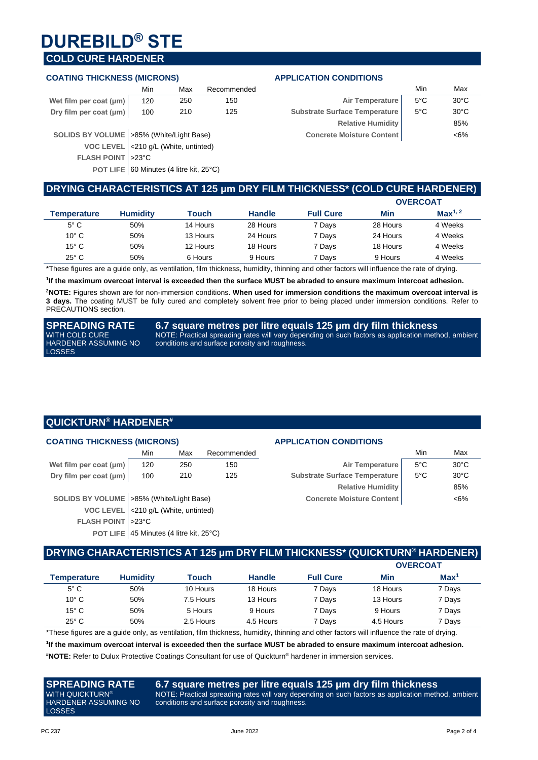## **DUREBILD® STE**

### **COLD CURE HARDENER**

#### **COATING THICKNESS (MICRONS) APPLICATION CONDITIONS**

|                             | Min | Max | Recommended |                                     | Min | Max                  |
|-----------------------------|-----|-----|-------------|-------------------------------------|-----|----------------------|
| Wet film per coat $(\mu m)$ | 120 | 250 | 150         | Air Temperature   5°C               |     | $30^{\circ}$ C       |
| Dry film per coat (µm)      | 100 | 210 | 125         | Substrate Surface Temperature   5°C |     | 30°C                 |
|                             |     |     |             | __________                          |     | $\sim$ $\sim$ $\sim$ |

**SOLIDS BY VOLUME** >85% (White/Light Base)

**VOC LEVEL** <210 g/L (White, untinted)

**FLASH POINT** >23°C

**POT LIFE** 60 Minutes (4 litre kit, 25°C)

| Min | Max                  | Recommended |                                  | Min           | Max            |  |
|-----|----------------------|-------------|----------------------------------|---------------|----------------|--|
| 120 | 250                  | 150         | Air Temperature                  | $5^{\circ}$ C | $30^{\circ}$ C |  |
| 100 | 210                  | 125         | Substrate Surface Temperature    | $5^{\circ}$ C | $30^{\circ}$ C |  |
|     |                      |             | <b>Relative Humidity</b>         |               | 85%            |  |
|     | % (White/Light Base) |             | <b>Concrete Moisture Content</b> |               | $<6\%$         |  |
|     |                      |             |                                  |               |                |  |

### **DRYING CHARACTERISTICS AT 125 μm DRY FILM THICKNESS\* (COLD CURE HARDENER)**

|                          |                 |          |               |                  |          | <b>OVERCOAT</b>     |
|--------------------------|-----------------|----------|---------------|------------------|----------|---------------------|
| Temperature              | <b>Humidity</b> | Touch    | <b>Handle</b> | <b>Full Cure</b> | Min      | Max <sup>1, 2</sup> |
| $5^{\circ}$ C            | 50%             | 14 Hours | 28 Hours      | 7 Days           | 28 Hours | 4 Weeks             |
| $10^{\circ}$ C           | 50%             | 13 Hours | 24 Hours      | 7 Days           | 24 Hours | 4 Weeks             |
| $15^{\circ}$ C           | 50%             | 12 Hours | 18 Hours      | 7 Days           | 18 Hours | 4 Weeks             |
| $25^{\circ}$ C           | 50%             | 6 Hours  | 9 Hours       | 7 Days           | 9 Hours  | 4 Weeks             |
| $\overline{\phantom{a}}$ |                 | $-$<br>. |               | .                |          | .                   |

\*These figures are a guide only, as ventilation, film thickness, humidity, thinning and other factors will influence the rate of drying.

**1 If the maximum overcoat interval is exceeded then the surface MUST be abraded to ensure maximum intercoat adhesion.**

**<sup>2</sup>NOTE:** Figures shown are for non-immersion conditions. **When used for immersion conditions the maximum overcoat interval is 3 days.** The coating MUST be fully cured and completely solvent free prior to being placed under immersion conditions. Refer to PRECAUTIONS section.

**SPREADING RATE**  WITH COLD CURE HARDENER ASSUMING NO LOSSES

**6.7 square metres per litre equals 125 μm dry film thickness** NOTE: Practical spreading rates will vary depending on such factors as application method, ambient conditions and surface porosity and roughness.

### **QUICKTURN® HARDENER#**

#### **COATING THICKNESS (MICRONS) APPLICATION CONDITIONS**

|                             | Min | Max | Recommended |                               | Min            | Max            |
|-----------------------------|-----|-----|-------------|-------------------------------|----------------|----------------|
| Wet film per coat $(\mu m)$ | 120 | 250 | 150         | Air Temperature               | $5^{\circ}$ C  | $30^{\circ}$ C |
| Dry film per coat (µm)      | 100 | 210 | 125         | Substrate Surface Temperature | $-5^{\circ}$ C | $30^{\circ}$ C |

**POT LIFE** 45 Minutes (4 litre kit, 25°C)

**SOLIDS BY VOLUME** >85% (White/Light Base) **VOC LEVEL** <210 g/L (White, untinted) **FLASH POINT** >23°C

| Min | Max                  | Recommended |                                      | Min | Max            |
|-----|----------------------|-------------|--------------------------------------|-----|----------------|
| 120 | 250                  | 150         | Air Temperature                      | 5°C | $30^{\circ}$ C |
| 100 | 210                  | 125         | <b>Substrate Surface Temperature</b> | 5°C | $30^{\circ}$ C |
|     |                      |             | <b>Relative Humidity</b>             |     | 85%            |
|     | % (White/Light Base) |             | <b>Concrete Moisture Content</b>     |     | $<6\%$         |
|     |                      |             |                                      |     |                |

### **DRYING CHARACTERISTICS AT 125 μm DRY FILM THICKNESS\* (QUICKTURN® HARDENER)**

|                |                 |              |               |                  | <b>OVERCOAT</b> |                  |
|----------------|-----------------|--------------|---------------|------------------|-----------------|------------------|
| Temperature    | <b>Humidity</b> | <b>Touch</b> | <b>Handle</b> | <b>Full Cure</b> | Min             | Max <sup>1</sup> |
| $5^{\circ}$ C  | 50%             | 10 Hours     | 18 Hours      | 7 Days           | 18 Hours        | 7 Days           |
| $10^{\circ}$ C | 50%             | 7.5 Hours    | 13 Hours      | 7 Days           | 13 Hours        | 7 Days           |
| $15^{\circ}$ C | 50%             | 5 Hours      | 9 Hours       | 7 Days           | 9 Hours         | 7 Days           |
| $25^{\circ}$ C | 50%             | 2.5 Hours    | 4.5 Hours     | 7 Days           | 4.5 Hours       | 7 Days           |

\*These figures are a guide only, as ventilation, film thickness, humidity, thinning and other factors will influence the rate of drying. **1 If the maximum overcoat interval is exceeded then the surface MUST be abraded to ensure maximum intercoat adhesion.**

**#NOTE:** Refer to Dulux Protective Coatings Consultant for use of Quickturn® hardener in immersion services.

#### **SPREADING RATE**  WITH QUICKTURN® HARDENER ASSUMING NO LOSSES

#### **6.7 square metres per litre equals 125 μm dry film thickness** NOTE: Practical spreading rates will vary depending on such factors as application method, ambient conditions and surface porosity and roughness.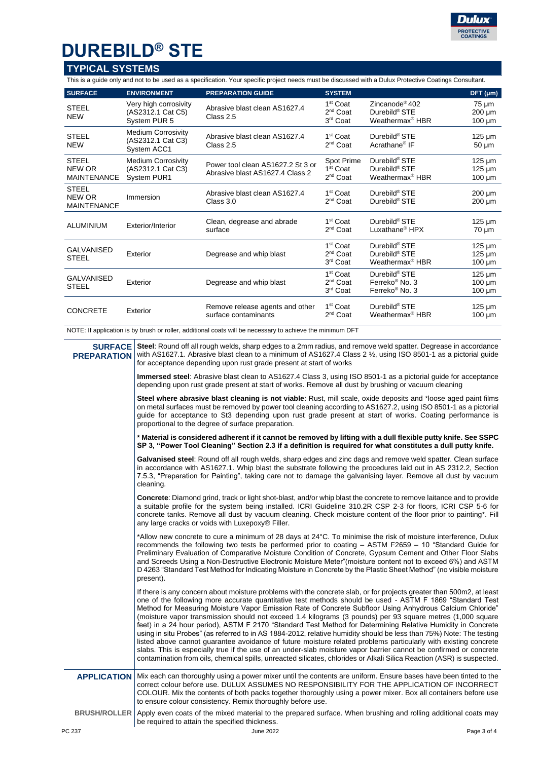

## **DUREBILD® STE**

### **TYPICAL SYSTEMS**

This is a guide only and not to be used as a specification. Your specific project needs must be discussed with a Dulux Protective Coatings Consultant.

| <b>SURFACE</b>                               | <b>ENVIRONMENT</b>                                            | <b>PREPARATION GUIDE</b>                                             | <b>SYSTEM</b>                                                        |                                                                                        | DFT (µm)                                  |
|----------------------------------------------|---------------------------------------------------------------|----------------------------------------------------------------------|----------------------------------------------------------------------|----------------------------------------------------------------------------------------|-------------------------------------------|
| <b>STEEL</b><br><b>NEW</b>                   | Very high corrosivity<br>(AS2312.1 Cat C5)<br>System PUR 5    | Abrasive blast clean AS1627.4<br>Class 2.5                           | 1 <sup>st</sup> Coat<br>2 <sup>nd</sup> Coat<br>3 <sup>rd</sup> Coat | Zincanode <sup>®</sup> 402<br>Durebild <sup>®</sup> STE<br>Weathermax <sup>®</sup> HBR | 75 µm<br>$200 \mu m$<br>$100 \mu m$       |
| <b>STEEL</b><br><b>NEW</b>                   | <b>Medium Corrosivity</b><br>(AS2312.1 Cat C3)<br>System ACC1 | Abrasive blast clean AS1627.4<br>Class 2.5                           | 1 <sup>st</sup> Coat<br>2 <sup>nd</sup> Coat                         | Durebild <sup>®</sup> STE<br>Acrathane <sup>®</sup> IF                                 | $125 \mu m$<br>$50 \mu m$                 |
| <b>STEEL</b><br>NEW OR<br><b>MAINTENANCE</b> | <b>Medium Corrosivity</b><br>(AS2312.1 Cat C3)<br>System PUR1 | Power tool clean AS1627.2 St 3 or<br>Abrasive blast AS1627.4 Class 2 | Spot Prime<br>1 <sup>st</sup> Coat<br>2 <sup>nd</sup> Coat           | Durebild <sup>®</sup> STE<br>Durebild <sup>®</sup> STE<br>Weathermax <sup>®</sup> HBR  | $125 \mu m$<br>$125 \mu m$<br>$100 \mu m$ |
| <b>STEEL</b><br>NEW OR<br><b>MAINTENANCE</b> | Immersion                                                     | Abrasive blast clean AS1627.4<br>Class 3.0                           | 1 <sup>st</sup> Coat<br>2 <sup>nd</sup> Coat                         | Durebild <sup>®</sup> STE<br>Durebild <sup>®</sup> STE                                 | $200 \mu m$<br>$200 \mu m$                |
| ALUMINIUM                                    | Exterior/Interior                                             | Clean, degrease and abrade<br>surface                                | 1 <sup>st</sup> Coat<br>2 <sup>nd</sup> Coat                         | Durebild <sup>®</sup> STE<br>Luxathane <sup>®</sup> HPX                                | $125 \mu m$<br>$70 \mu m$                 |
| <b>GALVANISED</b><br><b>STEEL</b>            | Exterior                                                      | Degrease and whip blast                                              | 1 <sup>st</sup> Coat<br>2 <sup>nd</sup> Coat<br>3 <sup>rd</sup> Coat | Durebild <sup>®</sup> STE<br>Durebild <sup>®</sup> STE<br>Weathermax <sup>®</sup> HBR  | $125 \mu m$<br>$125 \mu m$<br>$100 \mu m$ |
| GALVANISED<br><b>STEEL</b>                   | Exterior                                                      | Degrease and whip blast                                              | 1 <sup>st</sup> Coat<br>2 <sup>nd</sup> Coat<br>3 <sup>rd</sup> Coat | Durebild <sup>®</sup> STE<br>Ferreko <sup>®</sup> No. 3<br>Ferreko <sup>®</sup> No. 3  | $125 \mu m$<br>$100 \mu m$<br>$100 \mu m$ |
| <b>CONCRETE</b>                              | Exterior                                                      | Remove release agents and other<br>surface contaminants              | 1 <sup>st</sup> Coat<br>$2^{nd}$ Coat                                | Durebild <sup>®</sup> STE<br>Weathermax <sup>®</sup> HBR                               | $125 \mu m$<br>$100 \mu m$                |

NOTE: If application is by brush or roller, additional coats will be necessary to achieve the minimum DFT

**SURFACE PREPARATION Steel**: Round off all rough welds, sharp edges to a 2mm radius, and remove weld spatter. Degrease in accordance with AS1627.1. Abrasive blast clean to a minimum of AS1627.4 Class 2 1/<sub>2</sub>, using ISO 8501-1 as a pictorial quide for acceptance depending upon rust grade present at start of works

> **Immersed steel**: Abrasive blast clean to AS1627.4 Class 3, using ISO 8501-1 as a pictorial guide for acceptance depending upon rust grade present at start of works. Remove all dust by brushing or vacuum cleaning

> **Steel where abrasive blast cleaning is not viable**: Rust, mill scale, oxide deposits and \*loose aged paint films on metal surfaces must be removed by power tool cleaning according to AS1627.2, using ISO 8501-1 as a pictorial guide for acceptance to St3 depending upon rust grade present at start of works. Coating performance is proportional to the degree of surface preparation.

> **\* Material is considered adherent if it cannot be removed by lifting with a dull flexible putty knife. See SSPC SP 3, "Power Tool Cleaning" Section 2.3 if a definition is required for what constitutes a dull putty knife.**

> **Galvanised steel**: Round off all rough welds, sharp edges and zinc dags and remove weld spatter. Clean surface in accordance with AS1627.1. Whip blast the substrate following the procedures laid out in AS 2312.2, Section 7.5.3, "Preparation for Painting", taking care not to damage the galvanising layer. Remove all dust by vacuum cleaning.

> **Concrete**: Diamond grind, track or light shot-blast, and/or whip blast the concrete to remove laitance and to provide a suitable profile for the system being installed. ICRI Guideline 310.2R CSP 2-3 for floors, ICRI CSP 5-6 for concrete tanks. Remove all dust by vacuum cleaning. Check moisture content of the floor prior to painting\*. Fill any large cracks or voids with Luxepoxy® Filler.

> \*Allow new concrete to cure a minimum of 28 days at 24°C. To minimise the risk of moisture interference, Dulux recommends the following two tests be performed prior to coating – ASTM F2659 – 10 "Standard Guide for Preliminary Evaluation of Comparative Moisture Condition of Concrete, Gypsum Cement and Other Floor Slabs and Screeds Using a Non-Destructive Electronic Moisture Meter"(moisture content not to exceed 6%) and ASTM D 4263 "Standard Test Method for Indicating Moisture in Concrete by the Plastic Sheet Method" (no visible moisture present).

> If there is any concern about moisture problems with the concrete slab, or for projects greater than 500m2, at least one of the following more accurate quantitative test methods should be used - ASTM F 1869 "Standard Test Method for Measuring Moisture Vapor Emission Rate of Concrete Subfloor Using Anhydrous Calcium Chloride" (moisture vapor transmission should not exceed 1.4 kilograms (3 pounds) per 93 square metres (1,000 square feet) in a 24 hour period), ASTM F 2170 "Standard Test Method for Determining Relative Humidity in Concrete using in situ Probes" (as referred to in AS 1884-2012, relative humidity should be less than 75%) Note: The testing listed above cannot guarantee avoidance of future moisture related problems particularly with existing concrete slabs. This is especially true if the use of an under-slab moisture vapor barrier cannot be confirmed or concrete contamination from oils, chemical spills, unreacted silicates, chlorides or Alkali Silica Reaction (ASR) is suspected.

#### **APPLICATION** Mix each can thoroughly using a power mixer until the contents are uniform. Ensure bases have been tinted to the correct colour before use. DULUX ASSUMES NO RESPONSIBILITY FOR THE APPLICATION OF INCORRECT COLOUR. Mix the contents of both packs together thoroughly using a power mixer. Box all containers before use to ensure colour consistency. Remix thoroughly before use.

**BRUSH/ROLLER** Apply even coats of the mixed material to the prepared surface. When brushing and rolling additional coats may be required to attain the specified thickness.